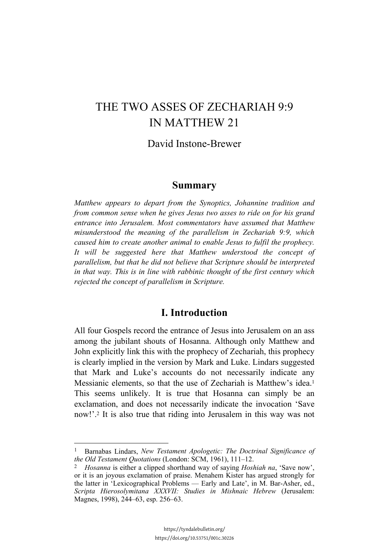# THE TWO ASSES OF ZECHARIAH 9:9 IN MATTHEW 21

### David Instone-Brewer

#### **Summary**

*Matthew appears to depart from the Synoptics, Johannine tradition and from common sense when he gives Jesus two asses to ride on for his grand entrance into Jerusalem. Most commentators have assumed that Matthew misunderstood the meaning of the parallelism in Zechariah 9:9, which caused him to create another animal to enable Jesus to fulfil the prophecy. It will be suggested here that Matthew understood the concept of parallelism, but that he did not believe that Scripture should be interpreted in that way. This is in line with rabbinic thought of the first century which rejected the concept of parallelism in Scripture.*

## **I. Introduction**

All four Gospels record the entrance of Jesus into Jerusalem on an ass among the jubilant shouts of Hosanna. Although only Matthew and John explicitly link this with the prophecy of Zechariah, this prophecy is clearly implied in the version by Mark and Luke. Lindars suggested that Mark and Luke's accounts do not necessarily indicate any Messianic elements, so that the use of Zechariah is Matthew's idea.1 This seems unlikely. It is true that Hosanna can simply be an exclamation, and does not necessarily indicate the invocation 'Save now!'.2 It is also true that riding into Jerusalem in this way was not

<sup>1</sup> Barnabas Lindars, *New Testament Apologetic: The Doctrinal Significance of the Old Testament Quotations* (London: SCM, 1961), 111–12.

<sup>2</sup> *Hosanna* is either a clipped shorthand way of saying *Hoshiah na*, 'Save now', or it is an joyous exclamation of praise. Menahem Kister has argued strongly for the latter in 'Lexicographical Problems — Early and Late', in M. Bar-Asher, ed., *Scripta Hierosolymitana XXXVII: Studies in Mishnaic Hebrew* (Jerusalem: Magnes, 1998), 244–63, esp. 256–63.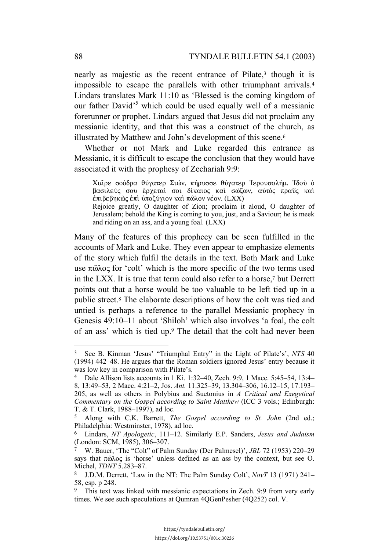nearly as majestic as the recent entrance of Pilate,<sup>3</sup> though it is impossible to escape the parallels with other triumphant arrivals.4 Lindars translates Mark 11:10 as 'Blessed is the coming kingdom of our father David<sup>5</sup> which could be used equally well of a messianic forerunner or prophet. Lindars argued that Jesus did not proclaim any messianic identity, and that this was a construct of the church, as illustrated by Matthew and John's development of this scene.6

Whether or not Mark and Luke regarded this entrance as Messianic, it is difficult to escape the conclusion that they would have associated it with the prophesy of Zechariah 9:9:

Xαΐρε σφόδρα θύγατερ Σιὼν, κήρυσσε θύγατερ Ἰερουσαλήμ. Ἰδού ο βασιλεύς σου έρχεται σοι δίκαιος και σώζων, αυτός πραϋς και  $\epsilon$ πιβεβηκώς επι υποζύγιον και πώλον νέον. (LXX) Rejoice greatly, O daughter of Zion; proclaim it aloud, O daughter of Jerusalem; behold the King is coming to you, just, and a Saviour; he is meek and riding on an ass, and a young foal. (LXX)

Many of the features of this prophecy can be seen fulfilled in the accounts of Mark and Luke. They even appear to emphasize elements of the story which fulfil the details in the text. Both Mark and Luke use  $\pi \hat{\omega} \lambda o \varsigma$  for 'colt' which is the more specific of the two terms used in the LXX. It is true that term could also refer to a horse,7 but Derrett points out that a horse would be too valuable to be left tied up in a public street.8 The elaborate descriptions of how the colt was tied and untied is perhaps a reference to the parallel Messianic prophecy in Genesis 49:10–11 about 'Shiloh' which also involves 'a foal, the colt of an ass' which is tied up.9 The detail that the colt had never been

<sup>3</sup> See B. Kinman 'Jesus' "Triumphal Entry" in the Light of Pilate's', *NTS* 40 (1994) 442–48. He argues that the Roman soldiers ignored Jesus' entry because it was low key in comparison with Pilate's.

<sup>4</sup> Dale Allison lists accounts in 1 Ki. 1:32–40, Zech. 9:9, 1 Macc. 5:45–54, 13:4– 8, 13:49–53, 2 Macc. 4:21–2, Jos. *Ant.* 11.325–39, 13.304–306, 16.12–15, 17.193– 205, as well as others in Polybius and Suetonius in *A Critical and Exegetical Commentary on the Gospel according to Saint Matthew* (ICC 3 vols.; Edinburgh: T. & T. Clark, 1988–1997), ad loc.

<sup>5</sup> Along with C.K. Barrett, *The Gospel according to St. John* (2nd ed.; Philadelphia: Westminster, 1978), ad loc.

<sup>6</sup> Lindars, *NT Apologetic*, 111–12. Similarly E.P. Sanders, *Jesus and Judaism* (London: SCM, 1985), 306–307.

<sup>7</sup> W. Bauer, 'The "Colt" of Palm Sunday (Der Palmesel)', *JBL* 72 (1953) 220–29 says that  $\pi \hat{\omega} \lambda o \varsigma$  is 'horse' unless defined as an ass by the context, but see O. Michel, *TDNT* 5.283–87.

<sup>8</sup> J.D.M. Derrett, 'Law in the NT: The Palm Sunday Colt', *NovT* 13 (1971) 241– 58, esp. p 248.

<sup>&</sup>lt;sup>9</sup> This text was linked with messianic expectations in Zech. 9:9 from very early times. We see such speculations at Qumran 4QGenPesher (4Q252) col. V.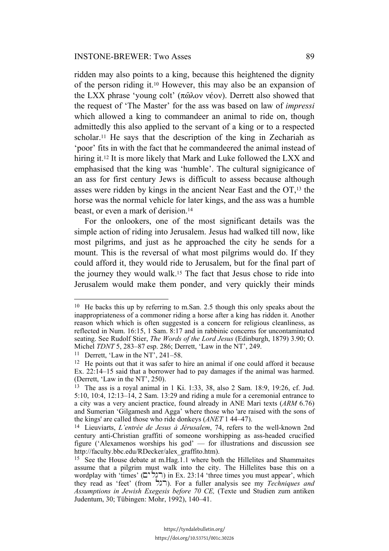ridden may also points to a king, because this heightened the dignity of the person riding it.10 However, this may also be an expansion of the LXX phrase 'young colt' ( $\pi\hat{\omega}$ λον νέον). Derrett also showed that the request of 'The Master' for the ass was based on law of *impressi* which allowed a king to commandeer an animal to ride on, though admittedly this also applied to the servant of a king or to a respected scholar.11 He says that the description of the king in Zechariah as 'poor' fits in with the fact that he commandeered the animal instead of hiring it.12 It is more likely that Mark and Luke followed the LXX and emphasised that the king was 'humble'. The cultural signigicance of an ass for first century Jews is difficult to assess because although asses were ridden by kings in the ancient Near East and the OT,13 the horse was the normal vehicle for later kings, and the ass was a humble beast, or even a mark of derision.<sup>14</sup>

For the onlookers, one of the most significant details was the simple action of riding into Jerusalem. Jesus had walked till now, like most pilgrims, and just as he approached the city he sends for a mount. This is the reversal of what most pilgrims would do. If they could afford it, they would ride to Jerusalem, but for the final part of the journey they would walk.15 The fact that Jesus chose to ride into Jerusalem would make them ponder, and very quickly their minds

<sup>10</sup> He backs this up by referring to m.San. 2.5 though this only speaks about the inappropriateness of a commoner riding a horse after a king has ridden it. Another reason which which is often suggested is a concern for religious cleanliness, as reflected in Num. 16:15, 1 Sam. 8:17 and in rabbinic concerns for uncontaminated seating. See Rudolf Stier, *The Words of the Lord Jesus* (Edinburgh, 1879) 3.90; O. Michel *TDNT* 5, 283–87 esp. 286; Derrett, 'Law in the NT', 249.

<sup>11</sup> Derrett, 'Law in the NT', 241–58.

<sup>&</sup>lt;sup>12</sup> He points out that it was safer to hire an animal if one could afford it because Ex. 22:14–15 said that a borrower had to pay damages if the animal was harmed. (Derrett, 'Law in the NT', 250).

<sup>13</sup> The ass is a royal animal in 1 Ki. 1:33, 38, also 2 Sam. 18:9, 19:26, cf. Jud. 5:10, 10:4, 12:13–14, 2 Sam. 13:29 and riding a mule for a ceremonial entrance to a city was a very ancient practice, found already in ANE Mari texts (*ARM* 6.76) and Sumerian 'Gilgamesh and Agga' where those who 'are raised with the sons of the kings' are called those who ride donkeys (*ANET* 1 44–47).

<sup>14</sup> Lieuviarts, *L'entrée de Jesus à Jérusalem*, 74, refers to the well-known 2nd century anti-Christian graffiti of someone worshipping as ass-headed crucified figure ('Alexamenos worships his god' — for illustrations and discussion see http://faculty.bbc.edu/RDecker/alex\_graffito.htm).

<sup>15</sup> See the House debate at m.Hag.1.1 where both the Hillelites and Shammaites assume that a pilgrim must walk into the city. The Hillelites base this on a wordplay with 'times' (רְגְלים) in Ex. 23:14 'three times you must appear', which they read as 'feet' (from lgr). For a fuller analysis see my *Techniques and Assumptions in Jewish Exegesis before 70 CE,* (Texte und Studien zum antiken Judentum, 30; Tübingen: Mohr, 1992), 140–41.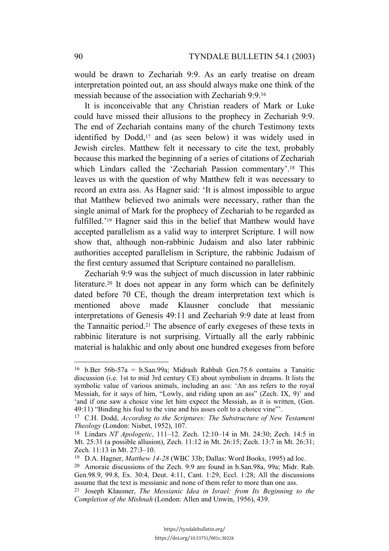would be drawn to Zechariah 9:9. As an early treatise on dream interpretation pointed out, an ass should always make one think of the messiah because of the association with Zechariah 9:9.16

It is inconceivable that any Christian readers of Mark or Luke could have missed their allusions to the prophecy in Zechariah 9:9. The end of Zechariah contains many of the church Testimony texts identified by Dodd,<sup>17</sup> and (as seen below) it was widely used in Jewish circles. Matthew felt it necessary to cite the text, probably because this marked the beginning of a series of citations of Zechariah which Lindars called the 'Zechariah Passion commentary'.18 This leaves us with the question of why Matthew felt it was necessary to record an extra ass. As Hagner said: 'It is almost impossible to argue that Matthew believed two animals were necessary, rather than the single animal of Mark for the prophecy of Zechariah to be regarded as fulfilled.'19 Hagner said this in the belief that Matthew would have accepted parallelism as a valid way to interpret Scripture. I will now show that, although non-rabbinic Judaism and also later rabbinic authorities accepted parallelism in Scripture, the rabbinic Judaism of the first century assumed that Scripture contained no parallelism.

Zechariah 9:9 was the subject of much discussion in later rabbinic literature.<sup>20</sup> It does not appear in any form which can be definitely dated before 70 CE, though the dream interpretation text which is mentioned above made Klausner conclude that messianic interpretations of Genesis 49:11 and Zechariah 9:9 date at least from the Tannaitic period.21 The absence of early exegeses of these texts in rabbinic literature is not surprising. Virtually all the early rabbinic material is halakhic and only about one hundred exegeses from before

<sup>16</sup> b.Ber 56b-57a = b.San.99a; Midrash Rabbah Gen.75.6 contains a Tanaitic discussion (i.e. 1st to mid 3rd century CE) about symbolism in dreams. It lists the symbolic value of various animals, including an ass: 'An ass refers to the royal Messiah, for it says of him, "Lowly, and riding upon an ass" (Zech. IX, 9)' and 'and if one saw a choice vine let him expect the Messiah, as it is written, (Gen. 49:11) "Binding his foal to the vine and his asses colt to a choice vine"'.

<sup>17</sup> C.H. Dodd, *According to the Scriptures: The Substructure of New Testament Theology* (London: Nisbet, 1952), 107.

<sup>18</sup> Lindars *NT Apologetic*, 111–12. Zech. 12:10–14 in Mt. 24:30; Zech. 14:5 in Mt. 25:31 (a possible allusion), Zech. 11:12 in Mt. 26:15; Zech. 13:7 in Mt. 26:31; Zech. 11:13 in Mt. 27:3–10.

<sup>19</sup> D.A. Hagner, *Matthew 14-28* (WBC 33b; Dallas: Word Books, 1995) ad loc.

<sup>20</sup> Amoraic discussions of the Zech. 9:9 are found in b.San.98a, 99a; Midr. Rab. Gen.98.9, 99.8, Ex. 30:4, Deut. 4:11, Cant. 1:29, Eccl. 1:28; All the discussions assume that the text is messianic and none of them refer to more than one ass.

<sup>21</sup> Joseph Klausner, *The Messianic Idea in Israel: from Its Beginning to the Completion of the Mishnah* (London: Allen and Unwin, 1956), 439.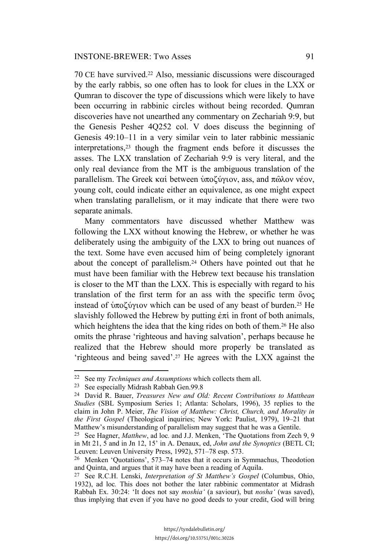70 CE have survived.22 Also, messianic discussions were discouraged by the early rabbis, so one often has to look for clues in the LXX or Qumran to discover the type of discussions which were likely to have been occurring in rabbinic circles without being recorded. Qumran discoveries have not unearthed any commentary on Zechariah 9:9, but the Genesis Pesher 4Q252 col. V does discuss the beginning of Genesis 49:10–11 in a very similar vein to later rabbinic messianic interpretations,23 though the fragment ends before it discusses the asses. The LXX translation of Zechariah 9:9 is very literal, and the only real deviance from the MT is the ambiguous translation of the parallelism. The Greek  $\kappa \alpha'$  between  $\dot{\nu} \pi o \zeta \dot{\nu} \gamma$  ass, and  $\pi \hat{\omega} \lambda \dot{\nu}$  véov, young colt, could indicate either an equivalence, as one might expect when translating parallelism, or it may indicate that there were two separate animals.

Many commentators have discussed whether Matthew was following the LXX without knowing the Hebrew, or whether he was deliberately using the ambiguity of the LXX to bring out nuances of the text. Some have even accused him of being completely ignorant about the concept of parallelism.24 Others have pointed out that he must have been familiar with the Hebrew text because his translation is closer to the MT than the LXX. This is especially with regard to his translation of the first term for an ass with the specific term  $\ddot{o}$ vo $\varsigma$ instead of  $\mathcal{U}(\mathcal{X})$  which can be used of any beast of burden.<sup>25</sup> He slavishly followed the Hebrew by putting  $\dot{\epsilon}\pi\acute{\iota}$  in front of both animals, which heightens the idea that the king rides on both of them.<sup>26</sup> He also omits the phrase 'righteous and having salvation', perhaps because he realized that the Hebrew should more properly be translated as 'righteous and being saved'.27 He agrees with the LXX against the

<sup>22</sup> See my *Techniques and Assumptions* which collects them all.

<sup>23</sup> See especially Midrash Rabbah Gen.99.8

<sup>24</sup> David R. Bauer, *Treasures New and Old: Recent Contributions to Matthean Studies* (SBL Symposium Series 1; Atlanta: Scholars, 1996), 35 replies to the claim in John P. Meier, *The Vision of Matthew: Christ, Church, and Morality in the First Gospel* (Theological inquiries; New York: Paulist, 1979), 19–21 that Matthew's misunderstanding of parallelism may suggest that he was a Gentile.

<sup>25</sup> See Hagner, *Matthew*, ad loc*.* and J.J. Menken, 'The Quotations from Zech 9, 9 in Mt 21, 5 and in Jn 12, 15' in A. Denaux, ed, *John and the Synoptics* (BETL CI; Leuven: Leuven University Press, 1992), 571–78 esp. 573.

<sup>26</sup> Menken 'Quotations', 573–74 notes that it occurs in Symmachus, Theodotion and Quinta, and argues that it may have been a reading of Aquila.

<sup>27</sup> See R.C.H. Lenski, *Interpretation of St Matthew's Gospel* (Columbus, Ohio, 1932), ad loc*.* This does not bother the later rabbinic commentator at Midrash Rabbah Ex. 30:24: 'It does not say *moshia'* (a saviour), but *nosha'* (was saved), thus implying that even if you have no good deeds to your credit, God will bring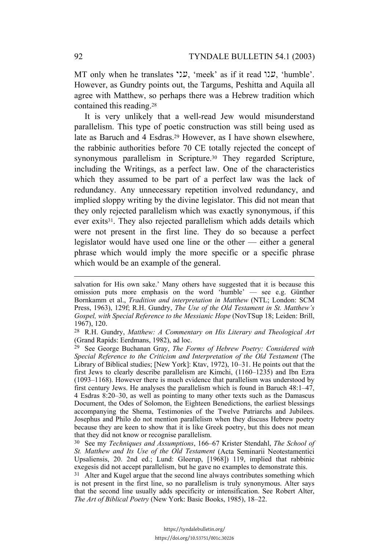MT only when he translates "עני, 'meek' as if it read "ענו, 'humble'. However, as Gundry points out, the Targums, Peshitta and Aquila all agree with Matthew, so perhaps there was a Hebrew tradition which contained this reading.28

It is very unlikely that a well-read Jew would misunderstand parallelism. This type of poetic construction was still being used as late as Baruch and 4 Esdras.29 However, as I have shown elsewhere, the rabbinic authorities before 70 CE totally rejected the concept of synonymous parallelism in Scripture.<sup>30</sup> They regarded Scripture, including the Writings, as a perfect law. One of the characteristics which they assumed to be part of a perfect law was the lack of redundancy. Any unnecessary repetition involved redundancy, and implied sloppy writing by the divine legislator. This did not mean that they only rejected parallelism which was exactly synonymous, if this ever exits31. They also rejected parallelism which adds details which were not present in the first line. They do so because a perfect legislator would have used one line or the other — either a general phrase which would imply the more specific or a specific phrase which would be an example of the general.

salvation for His own sake.' Many others have suggested that it is because this omission puts more emphasis on the word 'humble' — see e.g. Günther Bornkamm et al., *Tradition and interpretation in Matthew* (NTL; London: SCM Press, 1963), 129f; R.H. Gundry, *The Use of the Old Testament in St. Matthew's Gospel, with Special Reference to the Messianic Hope* (NovTSup 18; Leiden: Brill, 1967), 120.

<sup>28</sup> R.H. Gundry, *Matthew: A Commentary on His Literary and Theological Art* (Grand Rapids: Eerdmans, 1982), ad loc.

<sup>29</sup> See George Buchanan Gray, *The Forms of Hebrew Poetry: Considered with Special Reference to the Criticism and Interpretation of the Old Testament* (The Library of Biblical studies; [New York]: Ktav, 1972), 10–31. He points out that the first Jews to clearly describe parallelism are Kimchi, (1160–1235) and Ibn Ezra (1093–1168). However there is much evidence that parallelism was understood by first century Jews. He analyses the parallelism which is found in Baruch 48:1–47, 4 Esdras 8:20–30, as well as pointing to many other texts such as the Damascus Document, the Odes of Solomon, the Eighteen Benedictions, the earliest blessings accompanying the Shema, Testimonies of the Twelve Patriarchs and Jubilees. Josephus and Philo do not mention parallelism when they discuss Hebrew poetry because they are keen to show that it is like Greek poetry, but this does not mean that they did not know or recognise parallelism.

<sup>30</sup> See my *Techniques and Assumptions*, 166–67 Krister Stendahl, *The School of St. Matthew and Its Use of the Old Testament* (Acta Seminarii Neotestamentici Upsaliensis, 20. 2nd ed.; Lund: Gleerup, [1968]) 119, implied that rabbinic exegesis did not accept parallelism, but he gave no examples to demonstrate this.

<sup>&</sup>lt;sup>31</sup> Alter and Kugel argue that the second line always contributes something which is not present in the first line, so no parallelism is truly synonymous. Alter says that the second line usually adds specificity or intensification. See Robert Alter, *The Art of Biblical Poetry* (New York: Basic Books, 1985), 18–22.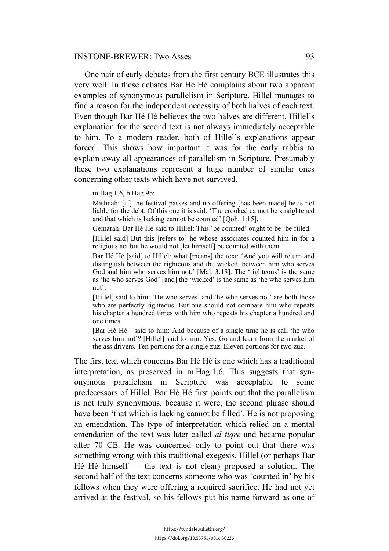#### INSTONE-BREWER: Two Asses 93

One pair of early debates from the first century BCE illustrates this very well. In these debates Bar Hé Hé complains about two apparent examples of synonymous parallelism in Scripture. Hillel manages to find a reason for the independent necessity of both halves of each text. Even though Bar Hé Hé believes the two halves are different, Hillel's explanation for the second text is not always immediately acceptable to him. To a modern reader, both of Hillel's explanations appear forced. This shows how important it was for the early rabbis to explain away all appearances of parallelism in Scripture. Presumably these two explanations represent a huge number of similar ones concerning other texts which have not survived.

m.Hag.1.6, b.Hag.9b:

Mishnah: [If] the festival passes and no offering [has been made] he is not liable for the debt. Of this one it is said: 'The crooked cannot be straightened and that which is lacking cannot be counted' [Qoh. 1:15].

Gemarah: Bar Hé Hé said to Hillel: This 'be counted' ought to be 'be filled.

[Hillel said] But this [refers to] he whose associates counted him in for a religious act but he would not [let himself] be counted with them.

Bar Hé Hé [said] to Hillel: what [means] the text: 'And you will return and distinguish between the righteous and the wicked, between him who serves God and him who serves him not.' [Mal. 3:18]. The 'righteous' is the same as 'he who serves God' [and] the 'wicked' is the same as 'he who serves him not'.

[Hillel] said to him: 'He who serves' and 'he who serves not' are both those who are perfectly righteous. But one should not compare him who repeats his chapter a hundred times with him who repeats his chapter a hundred and one times.

[Bar Hé Hé ] said to him: And because of a single time he is call 'he who serves him not'? [Hillel] said to him: Yes. Go and learn from the market of the ass drivers. Ten portions for a single zuz. Eleven portions for two zuz.

The first text which concerns Bar Hé Hé is one which has a traditional interpretation, as preserved in m.Hag.1.6. This suggests that synonymous parallelism in Scripture was acceptable to some predecessors of Hillel. Bar Hé Hé first points out that the parallelism is not truly synonymous, because it were, the second phrase should have been 'that which is lacking cannot be filled'. He is not proposing an emendation. The type of interpretation which relied on a mental emendation of the text was later called *al tiqre* and became popular after 70 CE. He was concerned only to point out that there was something wrong with this traditional exegesis. Hillel (or perhaps Bar Hé Hé himself — the text is not clear) proposed a solution. The second half of the text concerns someone who was 'counted in' by his fellows when they were offering a required sacrifice. He had not yet arrived at the festival, so his fellows put his name forward as one of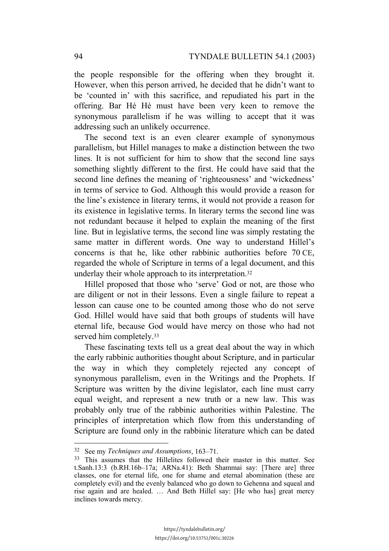the people responsible for the offering when they brought it. However, when this person arrived, he decided that he didn't want to be 'counted in' with this sacrifice, and repudiated his part in the offering. Bar Hé Hé must have been very keen to remove the synonymous parallelism if he was willing to accept that it was addressing such an unlikely occurrence.

The second text is an even clearer example of synonymous parallelism, but Hillel manages to make a distinction between the two lines. It is not sufficient for him to show that the second line says something slightly different to the first. He could have said that the second line defines the meaning of 'righteousness' and 'wickedness' in terms of service to God. Although this would provide a reason for the line's existence in literary terms, it would not provide a reason for its existence in legislative terms. In literary terms the second line was not redundant because it helped to explain the meaning of the first line. But in legislative terms, the second line was simply restating the same matter in different words. One way to understand Hillel's concerns is that he, like other rabbinic authorities before 70 CE, regarded the whole of Scripture in terms of a legal document, and this underlay their whole approach to its interpretation.32

Hillel proposed that those who 'serve' God or not, are those who are diligent or not in their lessons. Even a single failure to repeat a lesson can cause one to be counted among those who do not serve God. Hillel would have said that both groups of students will have eternal life, because God would have mercy on those who had not served him completely.<sup>33</sup>

These fascinating texts tell us a great deal about the way in which the early rabbinic authorities thought about Scripture, and in particular the way in which they completely rejected any concept of synonymous parallelism, even in the Writings and the Prophets. If Scripture was written by the divine legislator, each line must carry equal weight, and represent a new truth or a new law. This was probably only true of the rabbinic authorities within Palestine. The principles of interpretation which flow from this understanding of Scripture are found only in the rabbinic literature which can be dated

<sup>32</sup> See my *Techniques and Assumptions*, 163–71.

<sup>33</sup> This assumes that the Hillelites followed their master in this matter. See t.Sanh.13:3 (b.RH.16b–17a; ARNa.41): Beth Shammai say: [There are] three classes, one for eternal life, one for shame and eternal abomination (these are completely evil) and the evenly balanced who go down to Gehenna and squeal and rise again and are healed. … And Beth Hillel say: [He who has] great mercy inclines towards mercy.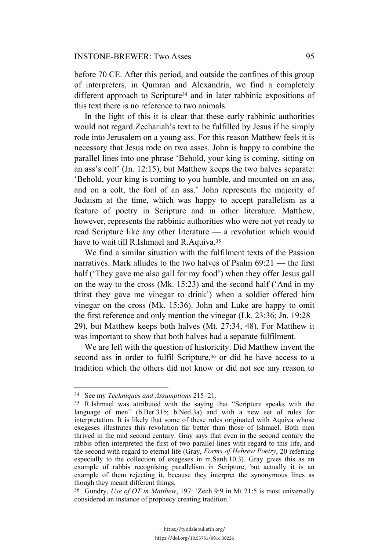before 70 CE. After this period, and outside the confines of this group of interpreters, in Qumran and Alexandria, we find a completely different approach to Scripture<sup>34</sup> and in later rabbinic expositions of this text there is no reference to two animals.

In the light of this it is clear that these early rabbinic authorities would not regard Zechariah's text to be fulfilled by Jesus if he simply rode into Jerusalem on a young ass. For this reason Matthew feels it is necessary that Jesus rode on two asses. John is happy to combine the parallel lines into one phrase 'Behold, your king is coming, sitting on an ass's colt' (Jn. 12:15), but Matthew keeps the two halves separate: 'Behold, your king is coming to you humble, and mounted on an ass, and on a colt, the foal of an ass.' John represents the majority of Judaism at the time, which was happy to accept parallelism as a feature of poetry in Scripture and in other literature. Matthew, however, represents the rabbinic authorities who were not yet ready to read Scripture like any other literature — a revolution which would have to wait till R.Ishmael and R.Aquiva.<sup>35</sup>

We find a similar situation with the fulfilment texts of the Passion narratives. Mark alludes to the two halves of Psalm  $69:21$  — the first half ('They gave me also gall for my food') when they offer Jesus gall on the way to the cross (Mk. 15:23) and the second half ('And in my thirst they gave me vinegar to drink') when a soldier offered him vinegar on the cross (Mk. 15:36). John and Luke are happy to omit the first reference and only mention the vinegar (Lk. 23:36; Jn. 19:28– 29), but Matthew keeps both halves (Mt. 27:34, 48). For Matthew it was important to show that both halves had a separate fulfilment.

We are left with the question of historicity. Did Matthew invent the second ass in order to fulfil Scripture,<sup>36</sup> or did he have access to a tradition which the others did not know or did not see any reason to

<sup>34</sup> See my *Techniques and Assumptions* 215–21.

<sup>35</sup> R.Ishmael was attributed with the saying that "Scripture speaks with the language of men" (b.Ber.31b; b.Ned.3a) and with a new set of rules for interpretation. It is likely that some of these rules originated with Aquiva whose exegeses illustrates this revolution far better than those of Ishmael. Both men thrived in the mid second century. Gray says that even in the second century the rabbis often interpreted the first of two parallel lines with regard to this life, and the second with regard to eternal life (Gray, *Forms of Hebrew Poetry*, 20 referring especially to the collection of exegeses in m.Sanh.10.3). Gray gives this as an example of rabbis recognising parallelism in Scripture, but actually it is an example of them rejecting it, because they interpret the synonymous lines as though they meant different things.

<sup>36</sup> Gundry, *Use of OT in Matthew*, 197: 'Zech 9:9 in Mt 21:5 is most universally considered an instance of prophecy creating tradition.'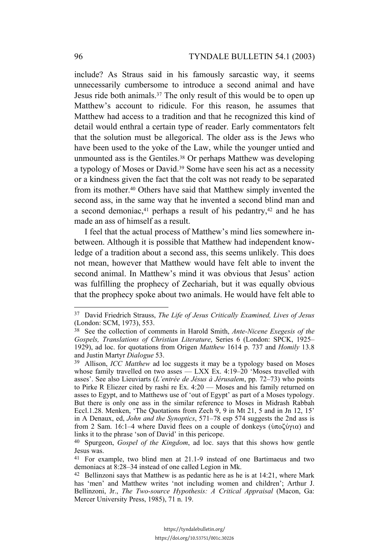include? As Straus said in his famously sarcastic way, it seems unnecessarily cumbersome to introduce a second animal and have Jesus ride both animals.37 The only result of this would be to open up Matthew's account to ridicule. For this reason, he assumes that Matthew had access to a tradition and that he recognized this kind of detail would enthral a certain type of reader. Early commentators felt that the solution must be allegorical. The older ass is the Jews who have been used to the yoke of the Law, while the younger untied and unmounted ass is the Gentiles.38 Or perhaps Matthew was developing a typology of Moses or David.39 Some have seen his act as a necessity or a kindness given the fact that the colt was not ready to be separated from its mother.40 Others have said that Matthew simply invented the second ass, in the same way that he invented a second blind man and a second demoniac,<sup>41</sup> perhaps a result of his pedantry,<sup>42</sup> and he has made an ass of himself as a result.

I feel that the actual process of Matthew's mind lies somewhere inbetween. Although it is possible that Matthew had independent knowledge of a tradition about a second ass, this seems unlikely. This does not mean, however that Matthew would have felt able to invent the second animal. In Matthew's mind it was obvious that Jesus' action was fulfilling the prophecy of Zechariah, but it was equally obvious that the prophecy spoke about two animals. He would have felt able to

<sup>37</sup> David Friedrich Strauss, *The Life of Jesus Critically Examined, Lives of Jesus* (London: SCM, 1973), 553.

<sup>38</sup> See the collection of comments in Harold Smith, *Ante-Nicene Exegesis of the Gospels, Translations of Christian Literature*, Series 6 (London: SPCK, 1925– 1929), ad loc. for quotations from Origen *Matthew* 1614 p. 737 and *Homily* 13.8 and Justin Martyr *Dialogue* 53.

<sup>39</sup> Allison, *ICC Matthew* ad loc suggests it may be a typology based on Moses whose family travelled on two asses — LXX Ex. 4:19-20 'Moses travelled with asses'. See also Lieuviarts (*L'entrée de Jésus à Jérusalem*, pp. 72–73) who points to Pirke R Eliezer cited by rashi re Ex. 4:20 — Moses and his family returned on asses to Egypt, and to Matthews use of 'out of Egypt' as part of a Moses typology. But there is only one ass in the similar reference to Moses in Midrash Rabbah Eccl.1.28. Menken, 'The Quotations from Zech 9, 9 in Mt 21, 5 and in Jn 12, 15' in A Denaux, ed, *John and the Synoptics*, 571–78 esp 574 suggests the 2nd ass is from 2 Sam. 16:1–4 where David flees on a couple of donkeys ( $\hat{v}$ ποζύγια) and links it to the phrase 'son of David' in this pericope.

<sup>40</sup> Spurgeon, *Gospel of the Kingdom*, ad loc. says that this shows how gentle Jesus was.

<sup>41</sup> For example, two blind men at 21.1-9 instead of one Bartimaeus and two demoniacs at 8:28–34 instead of one called Legion in Mk.

 $42$  Bellinzoni says that Matthew is as pedantic here as he is at 14:21, where Mark has 'men' and Matthew writes 'not including women and children'; Arthur J. Bellinzoni, Jr., *The Two-source Hypothesis: A Critical Appraisal* (Macon, Ga: Mercer University Press, 1985), 71 n. 19.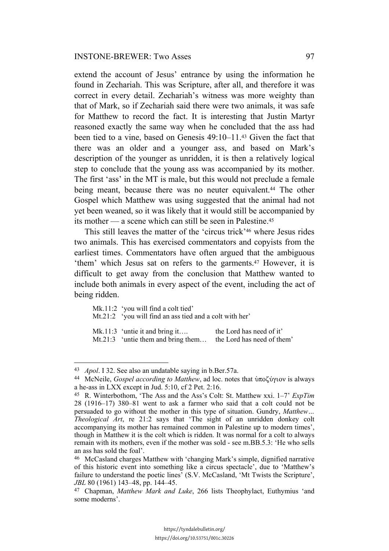extend the account of Jesus' entrance by using the information he found in Zechariah. This was Scripture, after all, and therefore it was correct in every detail. Zechariah's witness was more weighty than that of Mark, so if Zechariah said there were two animals, it was safe for Matthew to record the fact. It is interesting that Justin Martyr reasoned exactly the same way when he concluded that the ass had been tied to a vine, based on Genesis 49:10–11.43 Given the fact that there was an older and a younger ass, and based on Mark's description of the younger as unridden, it is then a relatively logical step to conclude that the young ass was accompanied by its mother. The first 'ass' in the MT is male, but this would not preclude a female being meant, because there was no neuter equivalent.<sup>44</sup> The other Gospel which Matthew was using suggested that the animal had not yet been weaned, so it was likely that it would still be accompanied by its mother — a scene which can still be seen in Palestine.45

This still leaves the matter of the 'circus trick'46 where Jesus rides two animals. This has exercised commentators and copyists from the earliest times. Commentators have often argued that the ambiguous 'them' which Jesus sat on refers to the garments.47 However, it is difficult to get away from the conclusion that Matthew wanted to include both animals in every aspect of the event, including the act of being ridden.

| Mk.11:2 'you will find a colt tied'<br>$Mt.21:2$ 'you will find an ass tied and a colt with her' |                                                        |
|--------------------------------------------------------------------------------------------------|--------------------------------------------------------|
| Mk.11:3 'untie it and bring it<br>Mt.21:3 'untie them and bring them                             | the Lord has need of it'<br>the Lord has need of them' |

<sup>43</sup> *Apol*. I 32. See also an undatable saying in b.Ber.57a.

<sup>&</sup>lt;sup>44</sup> McNeile, *Gospel according to Matthew*, ad loc. notes that υποζύγιον is always a he-ass in LXX except in Jud. 5:10, cf 2 Pet. 2:16.

<sup>45</sup> R. Winterbothom, 'The Ass and the Ass's Colt: St. Matthew xxi. 1–7' *ExpTim* 28 (1916–17) 380–81 went to ask a farmer who said that a colt could not be persuaded to go without the mother in this type of situation. Gundry, *Matthew… Theological Art*, re 21:2 says that 'The sight of an unridden donkey colt accompanying its mother has remained common in Palestine up to modern times', though in Matthew it is the colt which is ridden. It was normal for a colt to always remain with its mothers, even if the mother was sold - see m.BB.5.3: 'He who sells an ass has sold the foal'.

<sup>46</sup> McCasland charges Matthew with 'changing Mark's simple, dignified narrative of this historic event into something like a circus spectacle', due to 'Matthew's failure to understand the poetic lines' (S.V. McCasland, 'Mt Twists the Scripture', *JBL* 80 (1961) 143–48, pp. 144–45.

<sup>47</sup> Chapman, *Matthew Mark and Luke*, 266 lists Theophylact, Euthymius 'and some moderns'.